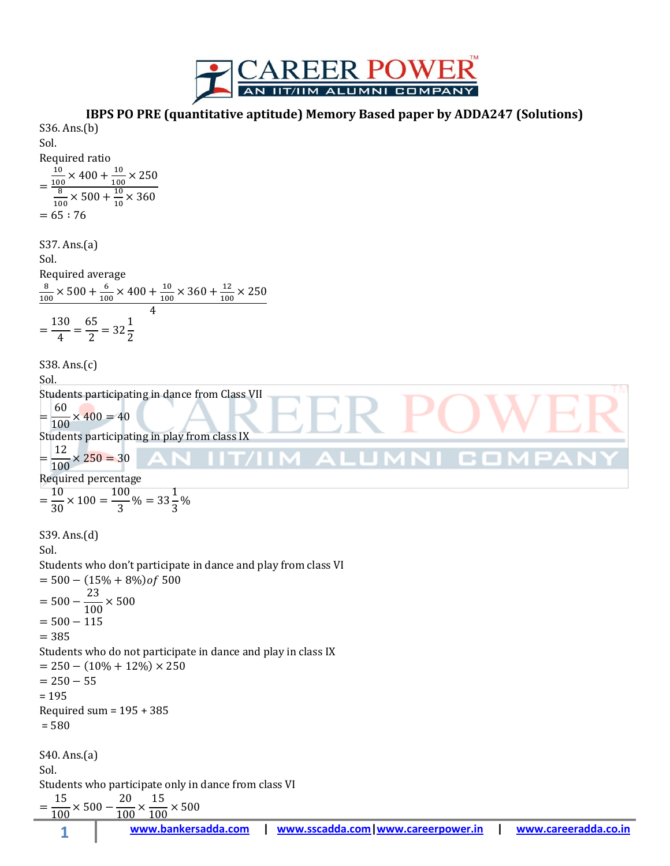

**IBPS PO PRE (quantitative aptitude) Memory Based paper by ADDA247 (Solutions)**

**1 www.bankersadda.com | www.sscadda.com|www.careerpower.in | www.careeradda.co.in** S36. Ans.(b) Sol. Required ratio S37. Ans.(a) Sol. Required average S38. Ans.(c) Sol. Students participating in dance from Class VII Students participating in play from class IX Required percentage S39. Ans.(d) Sol. Students who don't participate in dance and play from class VI ( ) Students who do not participate in dance and play in class IX ( ) = 195 Required sum = 195 + 385 = 580 S40. Ans.(a) Sol. Students who participate only in dance from class VI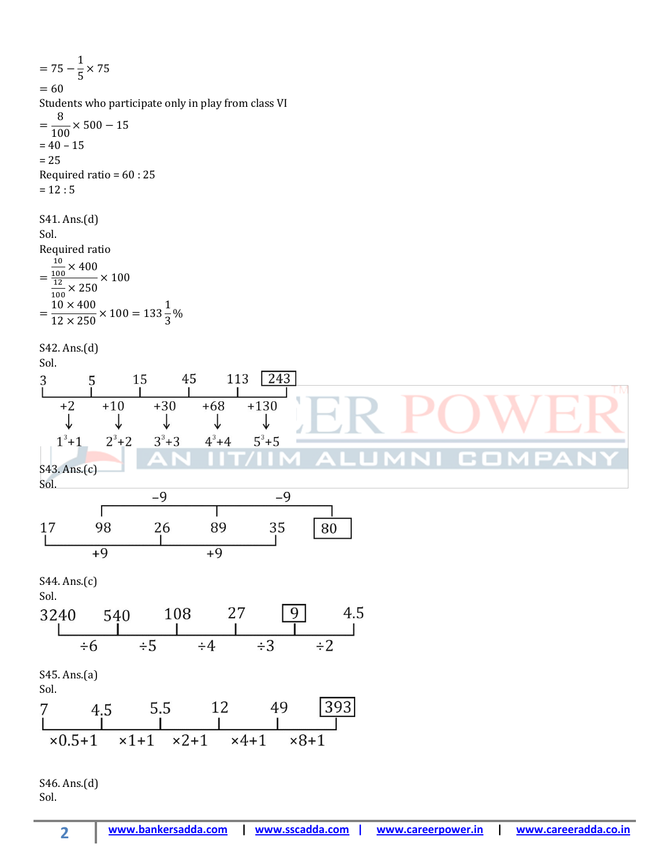$\mathbf{1}$  $=$  $\frac{1}{5}$   $\times$  $= 60$ Students who participate only in play from class VI 8  $=$  $\frac{6}{100}$  ×  $= 40 - 15$  $= 25$ Required ratio = 60 : 25  $= 12 : 5$ S41. Ans.(d) Sol. Required ratio  $\mathbf{1}$  $\frac{10}{100}$   $\times$  $=$  $\times$  $\overline{\mathbf{1}}$  $rac{12}{100}$   $\times$  $\mathbf{1}$  $\mathbf{1}$  $=$  $\frac{1}{3}$ %  $\mathbf{1}$ S42. Ans.(d) Sol.  $\begin{array}{c|ccccc}\n & 15 & 45 & 113 & 243 \\
\hline\n+10 & +30 & +68 & +130 \\
\downarrow & & \downarrow & & \downarrow & & \downarrow\n\end{array}$ 113 243  $\frac{3}{L}$  $+2$  $\sqrt{2}$  $\downarrow$  $2^3 + 2$  $1^3 + 1$  $3^3 + 3$  $4^3 + 4$  $5^3 + 5$ S43. Ans.(c) Sol.  $-9$  $-9$ T  $\frac{26}{1}$ 98 89 35 17 80  $\frac{1}{2}$  $\frac{1}{2}$ S44. Ans.(c) Sol. 240 540 108 27 9 4.5<br>  $\begin{array}{|c|c|c|c|c|c|c|} \hline 1 & 108 & 27 & 9 & 4.5 \\ \hline & & 1 & 1 & 1 & 1 \\ \hline & & \div 6 & \div 5 & \div 4 & \div 3 & \div 2 \\ \hline \end{array}$ 3240 S45. Ans.(a) Sol.  $\begin{array}{cccccc}\n4.5 & 5.5 & 12 & 49 & 393 \\
1 & 1 & 1 & 1 \\
\hline\n0.5+1 & x1+1 & x2+1 & x4+1 & x8+1\n\end{array}$ S46. Ans.(d)

Sol.

**2**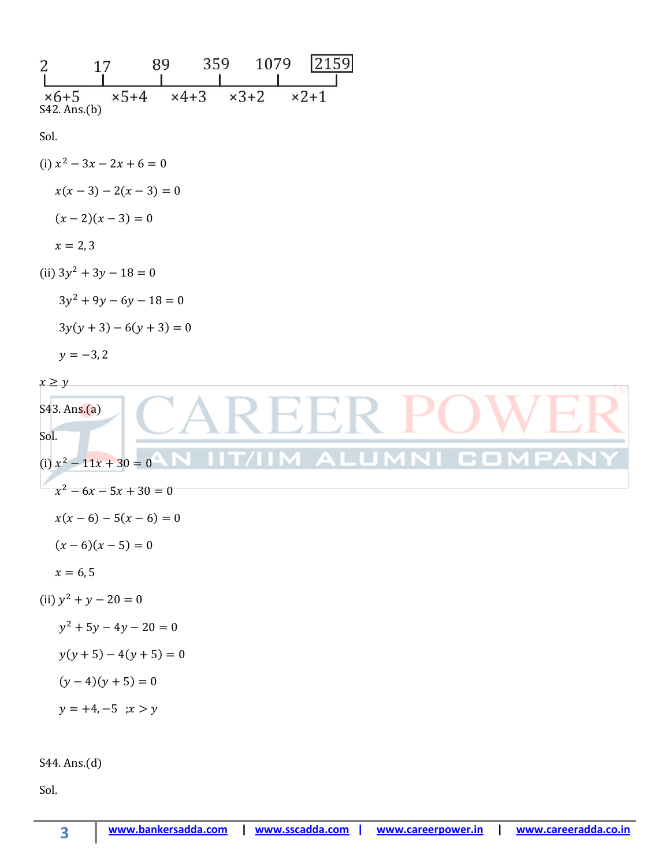| 2159<br>1079<br>359<br>89<br>2<br>17                                                                                                                    |
|---------------------------------------------------------------------------------------------------------------------------------------------------------|
| $x3+2$<br>$\times$ 5+4<br>$x4+3$<br>$x2+1$<br>$\times 6+5$<br>S42. Ans.(b)                                                                              |
| Sol.                                                                                                                                                    |
| (i) $x^2 - 3x - 2x + 6 = 0$                                                                                                                             |
| $x(x-3)-2(x-3)=0$                                                                                                                                       |
| $(x-2)(x-3) = 0$                                                                                                                                        |
| $x = 2, 3$                                                                                                                                              |
| (ii) $3y^2 + 3y - 18 = 0$                                                                                                                               |
| $3y^2 + 9y - 6y - 18 = 0$                                                                                                                               |
| $3y(y+3)-6(y+3)=0$                                                                                                                                      |
| $y = -3, 2$                                                                                                                                             |
| $x\geq y$<br>TM.<br>S43. Ans.(a)<br>Sol.<br>(i) $x^2 - 11x + 30 = 0$<br>$x^2 - 6x - 5x + 30 = 0$<br>$x(x-6)-5(x-6)=0$<br>$(x-6)(x-5) = 0$<br>$x = 6, 5$ |
| (ii) $y^2 + y - 20 = 0$                                                                                                                                 |
| $y^2 + 5y - 4y - 20 = 0$                                                                                                                                |
| $y(y+5) - 4(y+5) = 0$                                                                                                                                   |
| $(y-4)(y+5) = 0$                                                                                                                                        |
| $y = +4, -5$ ; $x > y$                                                                                                                                  |
|                                                                                                                                                         |

S44. Ans.(d)

**3**

Sol.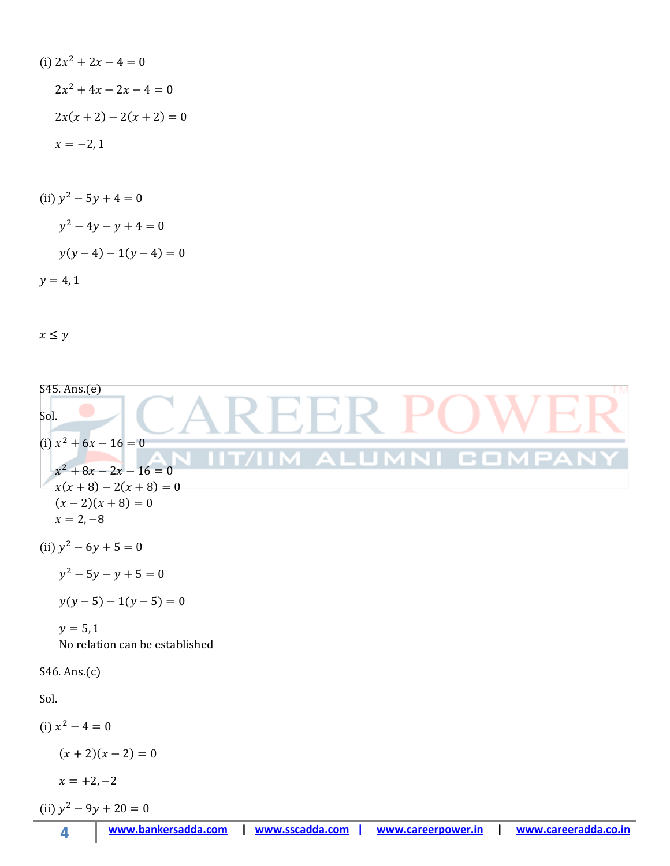(i) 
$$
2x^2 + 2x - 4 = 0
$$
  
\n $2x^2 + 4x - 2x - 4 = 0$   
\n $2x(x + 2) - 2(x + 2) = 0$   
\n $x = -2, 1$ 

(ii) 
$$
y^2 - 5y + 4 = 0
$$
  
\n $y^2 - 4y - y + 4 = 0$   
\n $y(y - 4) - 1(y - 4) = 0$   
\n $y = 4, 1$ 

 $x\leq y$ 

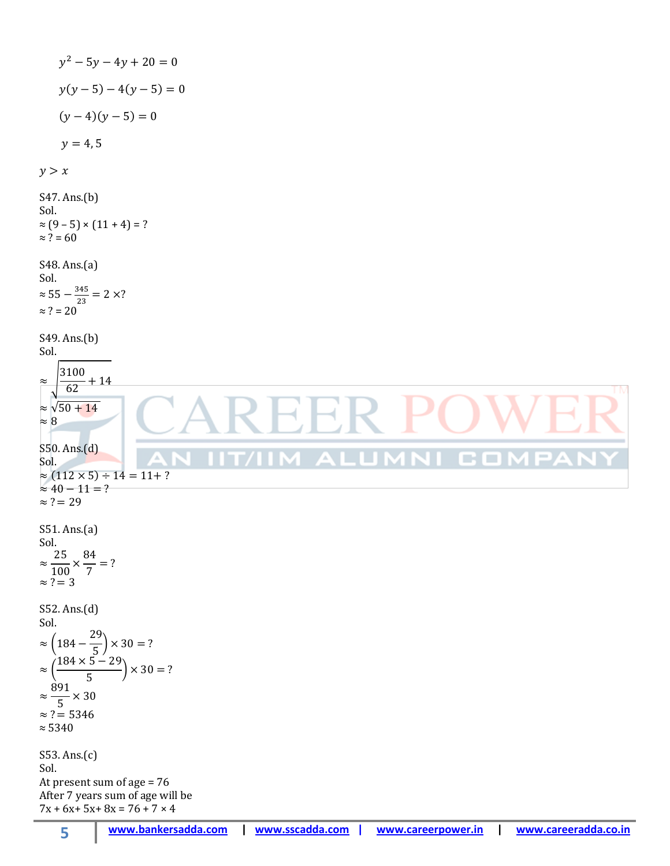( ) ( ) ( )( ) S47. Ans.(b) Sol. ≈ (9 – 5) × (11 + 4) = ? ≈ ? = 60 S48. Ans.(a) Sol. ≈ ≈ ? = 20 S49. Ans.(b) Sol. √ √ S50. Ans.(d) Sol. ( ) S51. Ans.(a) Sol. S52. Ans.(d) Sol. ( ) ( ) ≈ 5340 S53. Ans.(c) Sol. At present sum of age = 76 After 7 years sum of age will be 7x + 6x+ 5x+ 8x = 76 + 7 × 4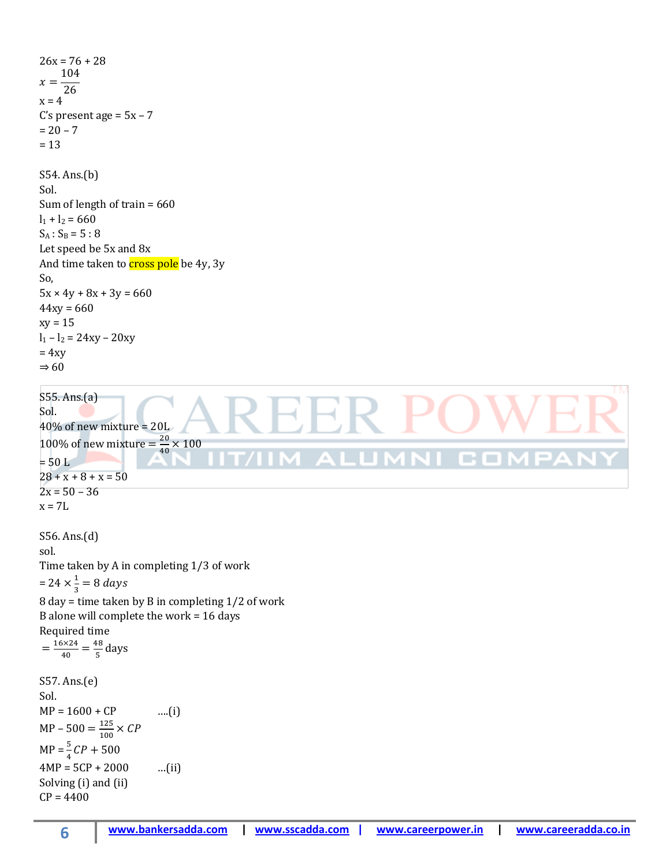```
26x = 76 + 28x =104
     \overline{26}x = 4C's present age = 5x - 7= 20 - 7= 13S54. Ans.(b)
Sol.
Sum of length of train = 660
l_1 + l_2 = 660
S_A: S_B = 5 : 8
Let speed be 5x and 8x
And time taken to cross pole be 4y, 3y
So,
5x \times 4y + 8x + 3y = 66044xy = 660xy = 15l_1 - l_2 = 24xy - 20xy= 4xy\Rightarrow 60S55. Ans.(a)
Sol. 
40% of new mixture = 20L
100% of new mixture = \frac{2}{1}rac{20}{40} X
= 50 L28 + x + 8 + x = 502x = 50 - 36x = 7LS56. Ans.(d)
sol. 
Time taken by A in completing 1/3 of work
= 24 \times \frac{1}{2}\frac{1}{3} =
8 day = time taken by B in completing 1/2 of work
B alone will complete the work = 16 days
Required time
 =\frac{1}{1}\frac{6 \times 24}{40} = \frac{4}{5}\frac{16}{5} days
S57. Ans.(e)
Sol. 
MP = 1600 + CP ....(i)
MP - 500 = \frac{1}{4}\frac{125}{100} X
MP = \frac{5}{4}C4MP = 5CP + 2000 ...(ii)
Solving (i) and (ii)
CP = 4400
```
**6**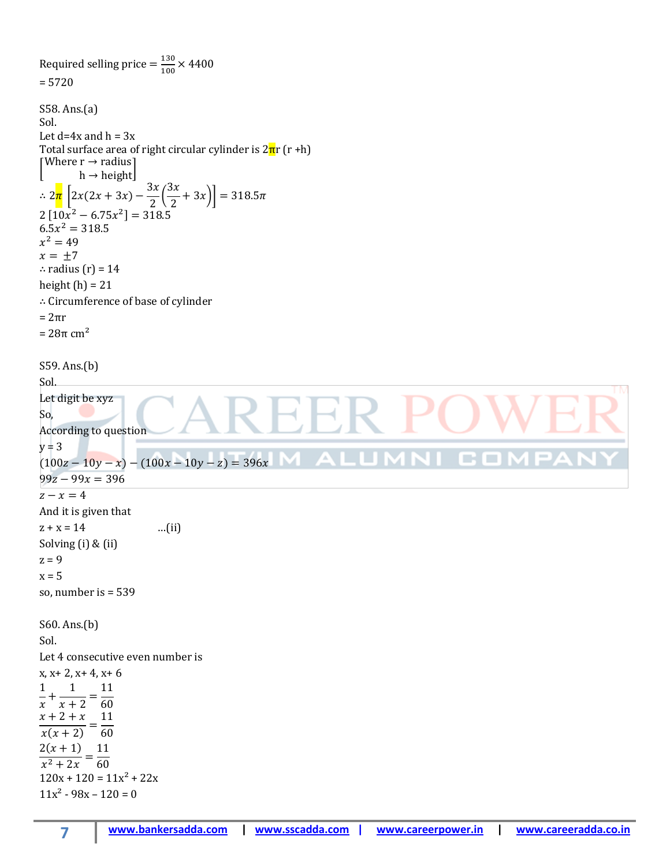```
Required selling price =\frac{1}{4}\frac{150}{100} X
= 5720
S58. Ans.(a)
Sol. 
Let d=4x and h=3xTotal surface area of right circular cylinder is 2\pi r (r +h)
\lceil Wh \rightarrow height
\therefore 2\frac{\pi}{\pi} \left[ 2x(2x+3x) - \frac{3}{5} \right]3
                            \frac{\pi}{2}\left[\frac{x}{2}+3x\right]=2[10x^2 - 6.75x^2] =6.5x^2x^2x = \pm 7∴ radius (r) = 14
height (h) = 21∴ Circumference of base of cylinder
= 2πr
= 28π cm<sup>2</sup>
S59. Ans.(b)
Sol.
Let digit be xyz
So,
According to question
y = 3(100z - 10y - x) - (100x - 10y - z) = 396x. .
99z - 99x = 396z - x = 4And it is given that
z + x = 14 …(ii)
Solving (i) & (ii)
z = 9x = 5so, number is = 539
S60. Ans.(b)
Sol.
Let 4 consecutive even number is 
x, x+ 2, x+ 4, x+ 6
\mathbf{1}1
               11
  \ddot{}\frac{1}{x+2} = \frac{1}{6}\boldsymbol{\chi}x+2+x 1
 \frac{x(x+2)}{x(x+2)} = \frac{1}{6}2(x+1) 1
 \frac{2(x+2)}{x^2+2x} = \frac{1}{6}120x + 120 = 11x^2 + 22x11x^2 - 98x - 120 = 0
```
**7**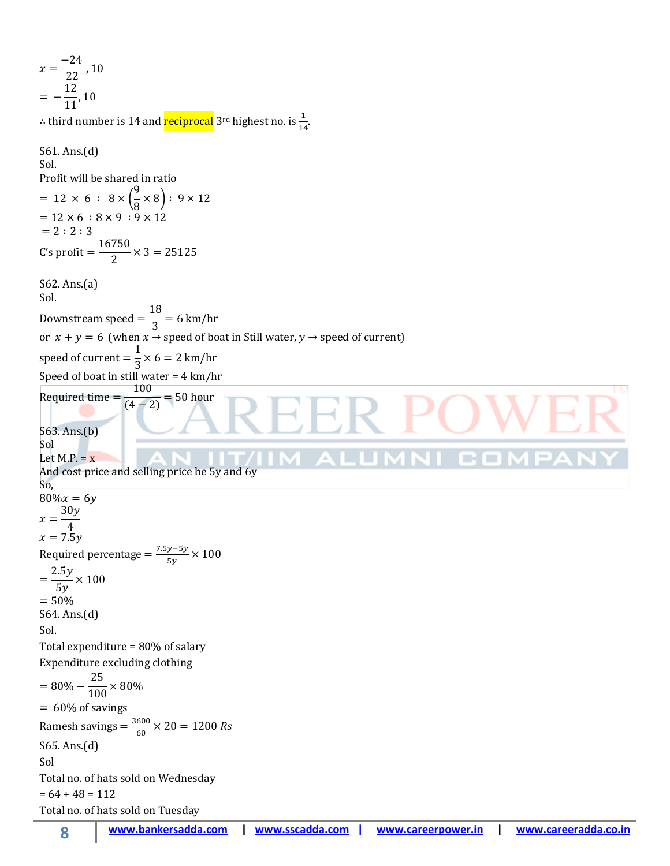**8 www.bankersadda.com | www.sscadda.com | www.careerpower.in | www.careeradda.co.in**  $\mathcal{X}$ —  $\overline{c}$  $=$  $\mathbf{1}$  $\mathbf{1}$ ∴ third number is 14 and <mark>reciprocal</mark> 3<sup>rd</sup> highest no. is  $\frac{1}{14}$ . S61. Ans.(d) Sol. Profit will be shared in ratio  $= 12 \times 6 : 8 \times$ 9  $\frac{1}{8}$   $\times$  8) :  $= 12 \times 6 : 8 \times 9 : 9 \times 12$  $= 2 : 2 : 3$ C  $\mathbf{1}$  $\frac{12}{2}$   $\times$ S62. Ans.(a) Sol. D  $\mathbf{1}$  $\frac{16}{3}$ or  $x + y = 6$  (when  $x \rightarrow$  speed of boat in Still water,  $y \rightarrow$  speed of current) s  $\mathbf{1}$  $\frac{1}{3}$   $\times$ Speed of boat in still water = 4 km/hr R  $\mathbf{1}$  $\frac{188}{(4-2)}$  = S63. Ans.(b) Sol Let  $M.P. = x$ And cost price and selling price be 5y and 6y So,  $80\%x = 6y$  $\boldsymbol{\chi}$ 3 4  $x = 7.5y$ Required percentage  $=\frac{7}{5}$  $\frac{y-3y}{5y}$  X  $=$  $\overline{c}$  $\frac{10y}{5y}$  ×  $= 50%$ S64. Ans.(d) Sol. Total expenditure = 80% of salary Expenditure excluding clothing  $=$  $\overline{\mathbf{c}}$  $\frac{1}{100}$   $\times$  $= 60\%$  of savings Ramesh savings  $=$   $\frac{3}{5}$  $\frac{600}{60}$   $\times$ S65. Ans.(d) Sol Total no. of hats sold on Wednesday  $= 64 + 48 = 112$ Total no. of hats sold on Tuesday